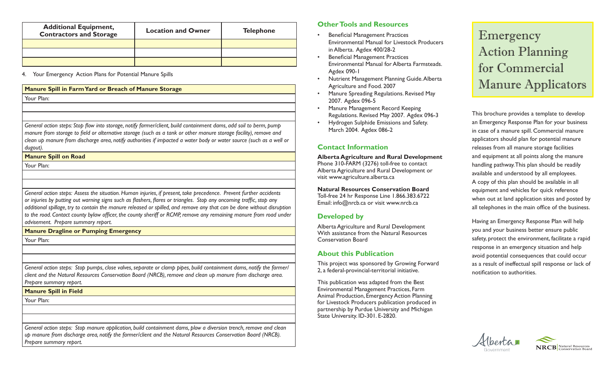| <b>Additional Equipment,</b><br><b>Contractors and Storage</b> | <b>Location and Owner</b> | <b>Telephone</b> |
|----------------------------------------------------------------|---------------------------|------------------|
|                                                                |                           |                  |
|                                                                |                           |                  |
|                                                                |                           |                  |

4. Your Emergency Action Plans for Potential Manure Spills

### **Manure Spill in Farm Yard or Breach of Manure Storage**

Your Plan:

*General action steps: Stop flow into storage, notify farmer/client, build containment dams, add soil to berm, pump manure from storage to field or alternative storage (such as a tank or other manure storage facility), remove and clean up manure from discharge area, notify authorities if impacted a water body or water source (such as a well or dugout).*

## **Manure Spill on Road**

Your Plan:

*General action steps: Assess the situation. Human injuries, if present, take precedence. Prevent further accidents or injuries by putting out warning signs such as flashers, flares or triangles. Stop any oncoming traffic, stop any additional spillage, try to contain the manure released or spilled, and remove any that can be done without disruption*  to the road. Contact county bylaw officer, the county sheriff or RCMP, remove any remaining manure from road under *advisement. Prepare summary report.* 

**Manure Dragline or Pumping Emergency**

Your Plan:

*General action steps: Stop pumps, close valves, separate or clamp pipes, build containment dams, notify the farmer/ client and the Natural Resources Conservation Board (NRCB), remove and clean up manure from discharge area. Prepare summary report.*

**Manure Spill in Field**

Your Plan:

*General action steps: Stop manure application, build containment dams, plow a diversion trench, remove and clean up manure from discharge area, notify the farmer/client and the Natural Resources Conservation Board (NRCB). Prepare summary report.*

# **Other Tools and Resources**

- Beneficial Management Practices Environmental Manual for Livestock Producers in Alberta. Agdex 400/28-2
- Beneficial Management Practices Environmental Manual for Alberta Farmsteads. Agdex 090-1
- Nutrient Management Planning Guide. Alberta Agriculture and Food. 2007
- Manure Spreading Regulations. Revised May 2007. Agdex 096-5
- Manure Management Record Keeping Regulations. Revised May 2007. Agdex 096-3
- Hydrogen Sulphide Emissions and Safety. March 2004. Agdex 086-2

# **Contact Information**

**Alberta Agriculture and Rural Development** Phone 310-FARM (3276) toll-free to contact Alberta Agriculture and Rural Development or visit www.agriculture.alberta.ca

**Natural Resources Conservation Board** Toll-free 24 hr Response Line 1.866.383.6722 Email: info@nrcb.ca or visit www.nrcb.ca

# **Developed by**

Alberta Agriculture and Rural Development With assistance from the Natural Resources Conservation Board

# **About this Publication**

This project was sponsored by Growing Forward 2, a federal-provincial-territorial initiative.

This publication was adapted from the Best Environmental Management Practices, Farm Animal Production, Emergency Action Planning for Livestock Producers publication produced in partnership by Purdue University and Michigan State University. ID-301. E-2820.

Emergency Action Planning for Commercial Manure Applicators

This brochure provides a template to develop an Emergency Response Plan for your business in case of a manure spill. Commercial manure applicators should plan for potential manure releases from all manure storage facilities and equipment at all points along the manure handling pathway. This plan should be readily available and understood by all employees. A copy of this plan should be available in all equipment and vehicles for quick reference when out at land application sites and posted by all telephones in the main office of the business.

Having an Emergency Response Plan will help you and your business better ensure public safety, protect the environment, facilitate a rapid response in an emergency situation and help avoid potential consequences that could occur as a result of ineffectual spill response or lack of notification to authorities.